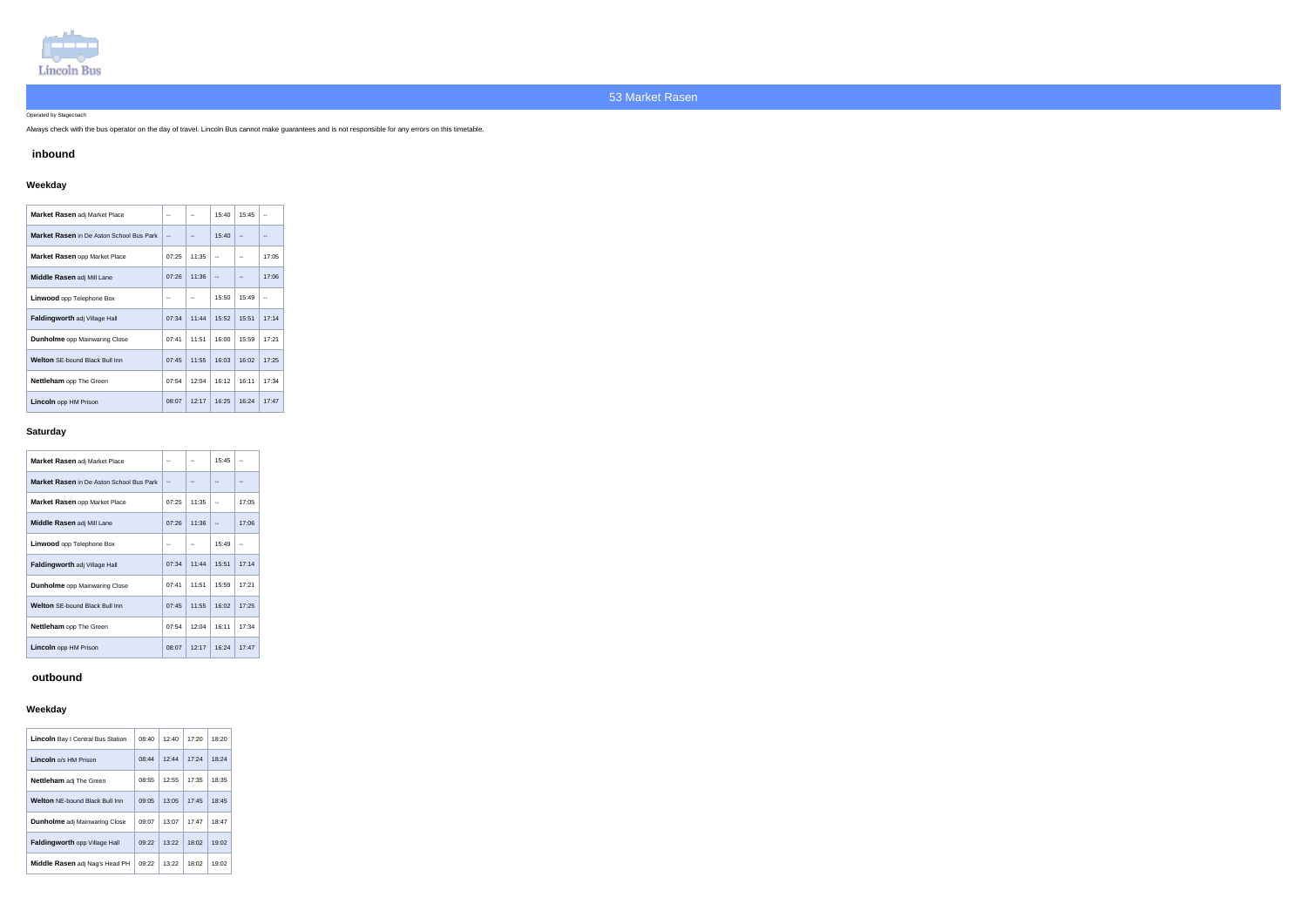

Operated by Stagecoach

Always check with the bus operator on the day of travel. Lincoln Bus cannot make guarantees and is not responsible for any errors on this timetable.

## **inbound**

# **Weekday**

| <b>Market Rasen adj Market Place</b>            |       | --    | 15:40 | 15:45 |       |
|-------------------------------------------------|-------|-------|-------|-------|-------|
| <b>Market Rasen</b> in De Aston School Bus Park | --    |       | 15:40 | --    |       |
| <b>Market Rasen opp Market Place</b>            | 07:25 | 11:35 |       |       | 17:05 |
| Middle Rasen adj Mill Lane                      | 07:26 | 11:36 | --    | --    | 17:06 |
| <b>Linwood</b> opp Telephone Box                |       |       | 15:50 | 15:49 |       |
| <b>Faldingworth adj Village Hall</b>            | 07:34 | 11:44 | 15:52 | 15:51 | 17:14 |
| <b>Dunholme</b> opp Mainwaring Close            | 07:41 | 11:51 | 16:00 | 15.59 | 17:21 |
| <b>Welton SE-bound Black Bull Inn</b>           | 07:45 | 11:55 | 16:03 | 16:02 | 17:25 |
| <b>Nettleham</b> opp The Green                  | 07:54 | 12:04 | 16:12 | 16:11 | 17:34 |
| <b>Lincoln</b> opp HM Prison                    | 08:07 | 12:17 | 16:25 | 16:24 | 17:47 |

### **Saturday**

| <b>Market Rasen adj Market Place</b>     |       |       | 15:45 |       |
|------------------------------------------|-------|-------|-------|-------|
| Market Rasen in De Aston School Bus Park |       |       |       |       |
| Market Rasen opp Market Place            | 07:25 | 11:35 |       | 17:05 |
| Middle Rasen adj Mill Lane               | 07:26 | 11:36 |       | 17:06 |
| <b>Linwood</b> opp Telephone Box         |       |       | 15:49 |       |
| <b>Faldingworth adj Village Hall</b>     | 07:34 | 11:44 | 15:51 | 17:14 |
| <b>Dunholme</b> opp Mainwaring Close     | 07:41 | 11:51 | 15:59 | 17:21 |
| <b>Welton SE-bound Black Bull Inn</b>    | 07:45 | 11:55 | 16:02 | 17:25 |
| Nettleham opp The Green                  | 07:54 | 12:04 | 16:11 | 17:34 |
| <b>Lincoln</b> opp HM Prison             | 08:07 | 12:17 | 16:24 | 17:47 |

### **outbound**

# **Weekday**

| <b>Lincoln</b> Bay I Central Bus Station | 08:40 | 12:40 | 17:20 | 18:20 |
|------------------------------------------|-------|-------|-------|-------|
| Lincoln o/s HM Prison                    | 08:44 | 12:44 | 17:24 | 18:24 |
| <b>Nettleham</b> adj The Green           | 08:55 | 12:55 | 17:35 | 18:35 |
| <b>Welton NE-bound Black Bull Inn</b>    | 09:05 | 13:05 | 17:45 | 18:45 |
| <b>Dunholme</b> adj Mainwaring Close     | 09:07 | 13:07 | 17:47 | 18:47 |
| <b>Faldingworth opp Village Hall</b>     | 09:22 | 13:22 | 18:02 | 19:02 |
| <b>Middle Rasen</b> adj Nag's Head PH    | 09:22 | 13:22 | 18:02 | 19:02 |